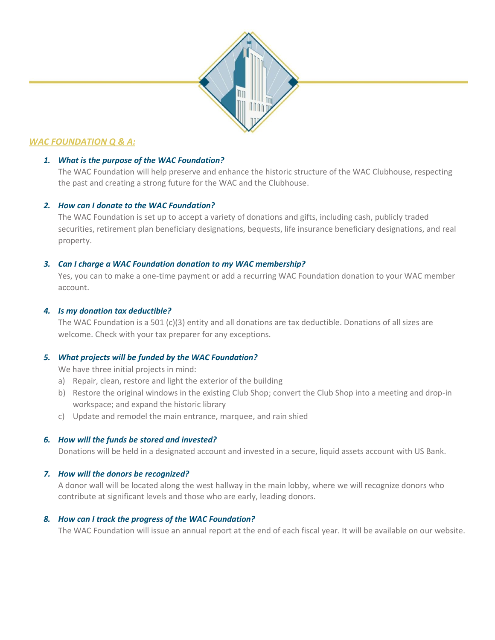

# *WAC FOUNDATION Q & A:*

# *1. What is the purpose of the WAC Foundation?*

The WAC Foundation will help preserve and enhance the historic structure of the WAC Clubhouse, respecting the past and creating a strong future for the WAC and the Clubhouse.

## *2. How can I donate to the WAC Foundation?*

The WAC Foundation is set up to accept a variety of donations and gifts, including cash, publicly traded securities, retirement plan beneficiary designations, bequests, life insurance beneficiary designations, and real property.

#### *3. Can I charge a WAC Foundation donation to my WAC membership?*

Yes, you can to make a one-time payment or add a recurring WAC Foundation donation to your WAC member account.

#### *4. Is my donation tax deductible?*

The WAC Foundation is a 501 (c)(3) entity and all donations are tax deductible. Donations of all sizes are welcome. Check with your tax preparer for any exceptions.

## *5. What projects will be funded by the WAC Foundation?*

We have three initial projects in mind:

- a) Repair, clean, restore and light the exterior of the building
- b) Restore the original windows in the existing Club Shop; convert the Club Shop into a meeting and drop-in workspace; and expand the historic library
- c) Update and remodel the main entrance, marquee, and rain shied

## *6. How will the funds be stored and invested?*

Donations will be held in a designated account and invested in a secure, liquid assets account with US Bank.

## *7. How will the donors be recognized?*

A donor wall will be located along the west hallway in the main lobby, where we will recognize donors who contribute at significant levels and those who are early, leading donors.

## *8. How can I track the progress of the WAC Foundation?*

The WAC Foundation will issue an annual report at the end of each fiscal year. It will be available on our website.